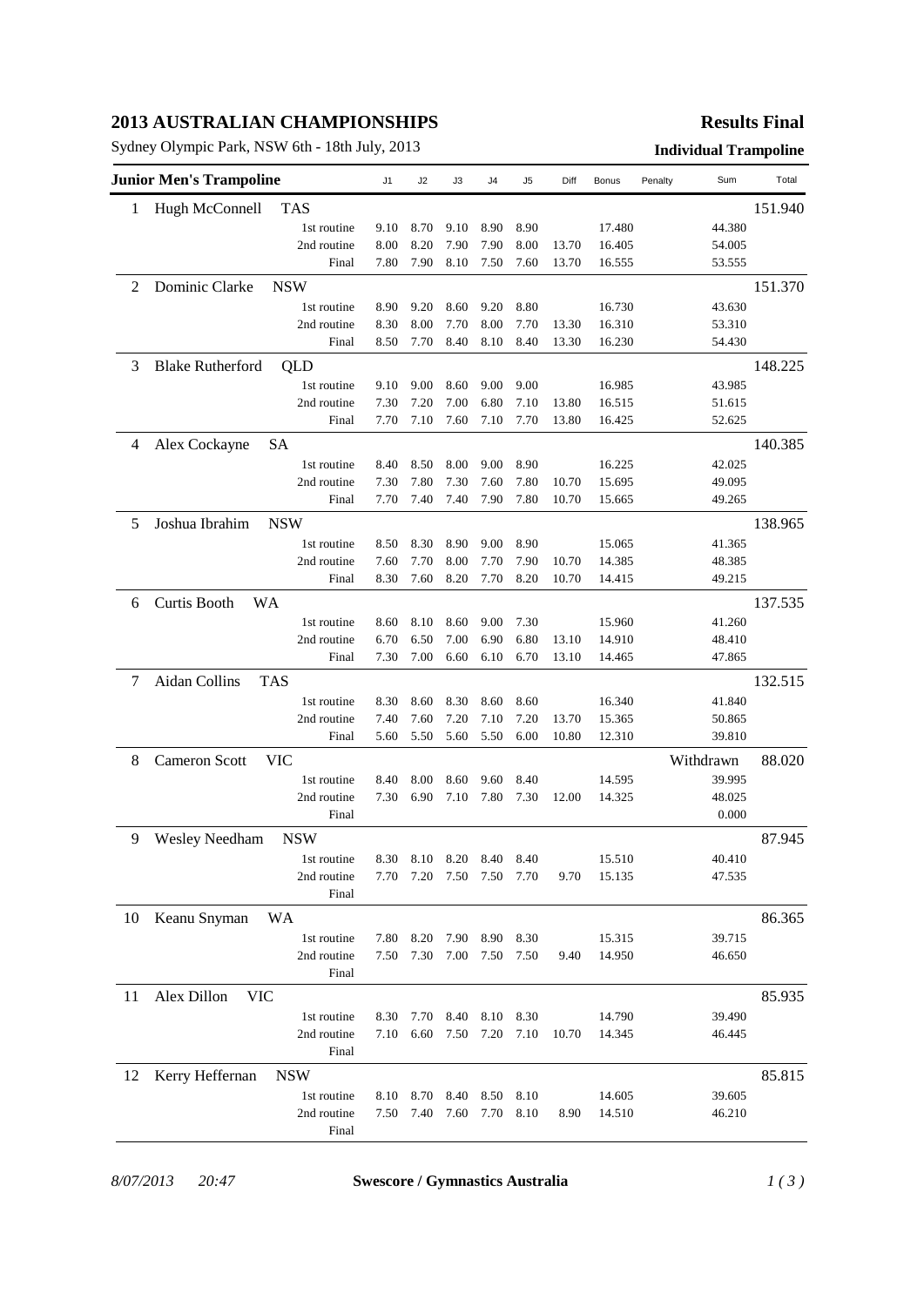## **2013 AUSTRALIAN CHAMPIONSHIPS**

Sydney Olympic Park, NSW 6th - 18th July, 2013 **Individual Trampoline**

### **Results Final**

|    | <b>Junior Men's Trampoline</b> |             | J1   | J2   | JЗ   | J4   | J5   | Diff  | Bonus  | Sum<br>Penalty | Total   |
|----|--------------------------------|-------------|------|------|------|------|------|-------|--------|----------------|---------|
| 1  | Hugh McConnell                 | TAS         |      |      |      |      |      |       |        |                | 151.940 |
|    |                                | 1st routine | 9.10 | 8.70 | 9.10 | 8.90 | 8.90 |       | 17.480 | 44.380         |         |
|    |                                | 2nd routine | 8.00 | 8.20 | 7.90 | 7.90 | 8.00 | 13.70 | 16.405 | 54.005         |         |
|    |                                | Final       | 7.80 | 7.90 | 8.10 | 7.50 | 7.60 | 13.70 | 16.555 | 53.555         |         |
| 2  | Dominic Clarke                 | <b>NSW</b>  |      |      |      |      |      |       |        |                | 151.370 |
|    |                                | 1st routine | 8.90 | 9.20 | 8.60 | 9.20 | 8.80 |       | 16.730 | 43.630         |         |
|    |                                | 2nd routine | 8.30 | 8.00 | 7.70 | 8.00 | 7.70 | 13.30 | 16.310 | 53.310         |         |
|    |                                | Final       | 8.50 | 7.70 | 8.40 | 8.10 | 8.40 | 13.30 | 16.230 | 54.430         |         |
| 3  | <b>Blake Rutherford</b>        | QLD         |      |      |      |      |      |       |        |                | 148.225 |
|    |                                | 1st routine | 9.10 | 9.00 | 8.60 | 9.00 | 9.00 |       | 16.985 | 43.985         |         |
|    |                                | 2nd routine | 7.30 | 7.20 | 7.00 | 6.80 | 7.10 | 13.80 | 16.515 | 51.615         |         |
|    |                                | Final       | 7.70 | 7.10 | 7.60 | 7.10 | 7.70 | 13.80 | 16.425 | 52.625         |         |
| 4  | Alex Cockayne                  | <b>SA</b>   |      |      |      |      |      |       |        |                | 140.385 |
|    |                                | 1st routine | 8.40 | 8.50 | 8.00 | 9.00 | 8.90 |       | 16.225 | 42.025         |         |
|    |                                | 2nd routine | 7.30 | 7.80 | 7.30 | 7.60 | 7.80 | 10.70 | 15.695 | 49.095         |         |
|    |                                | Final       | 7.70 | 7.40 | 7.40 | 7.90 | 7.80 | 10.70 | 15.665 | 49.265         |         |
| 5  | Joshua Ibrahim                 | <b>NSW</b>  |      |      |      |      |      |       |        |                | 138.965 |
|    |                                | 1st routine | 8.50 | 8.30 | 8.90 | 9.00 | 8.90 |       | 15.065 | 41.365         |         |
|    |                                | 2nd routine | 7.60 | 7.70 | 8.00 | 7.70 | 7.90 | 10.70 | 14.385 | 48.385         |         |
|    |                                | Final       | 8.30 | 7.60 | 8.20 | 7.70 | 8.20 | 10.70 | 14.415 | 49.215         |         |
| 6  | Curtis Booth<br><b>WA</b>      |             |      |      |      |      |      |       |        |                | 137.535 |
|    |                                | 1st routine | 8.60 | 8.10 | 8.60 | 9.00 | 7.30 |       | 15.960 | 41.260         |         |
|    |                                | 2nd routine | 6.70 | 6.50 | 7.00 | 6.90 | 6.80 | 13.10 | 14.910 | 48.410         |         |
|    |                                | Final       | 7.30 | 7.00 | 6.60 | 6.10 | 6.70 | 13.10 | 14.465 | 47.865         |         |
| 7  | Aidan Collins<br><b>TAS</b>    |             |      |      |      |      |      |       |        |                | 132.515 |
|    |                                | 1st routine | 8.30 | 8.60 | 8.30 | 8.60 | 8.60 |       | 16.340 | 41.840         |         |
|    |                                | 2nd routine | 7.40 | 7.60 | 7.20 | 7.10 | 7.20 | 13.70 | 15.365 | 50.865         |         |
|    |                                | Final       | 5.60 | 5.50 | 5.60 | 5.50 | 6.00 | 10.80 | 12.310 | 39.810         |         |
| 8  | <b>Cameron Scott</b>           | <b>VIC</b>  |      |      |      |      |      |       |        | Withdrawn      | 88.020  |
|    |                                | 1st routine | 8.40 | 8.00 | 8.60 | 9.60 | 8.40 |       | 14.595 | 39.995         |         |
|    |                                | 2nd routine | 7.30 | 6.90 | 7.10 | 7.80 | 7.30 | 12.00 | 14.325 | 48.025         |         |
|    |                                | Final       |      |      |      |      |      |       |        | 0.000          |         |
| 9  | <b>Wesley Needham</b>          | <b>NSW</b>  |      |      |      |      |      |       |        |                | 87.945  |
|    |                                | 1st routine | 8.30 | 8.10 | 8.20 | 8.40 | 8.40 |       | 15.510 | 40.410         |         |
|    |                                | 2nd routine | 7.70 | 7.20 | 7.50 | 7.50 | 7.70 | 9.70  | 15.135 | 47.535         |         |
|    |                                | Final       |      |      |      |      |      |       |        |                |         |
| 10 | Keanu Snyman                   | WA          |      |      |      |      |      |       |        |                | 86.365  |
|    |                                | 1st routine | 7.80 | 8.20 | 7.90 | 8.90 | 8.30 |       | 15.315 | 39.715         |         |
|    |                                | 2nd routine | 7.50 | 7.30 | 7.00 | 7.50 | 7.50 | 9.40  | 14.950 | 46.650         |         |
|    |                                | Final       |      |      |      |      |      |       |        |                |         |
| 11 | Alex Dillon<br><b>VIC</b>      |             |      |      |      |      |      |       |        |                | 85.935  |
|    |                                | 1st routine | 8.30 | 7.70 | 8.40 | 8.10 | 8.30 |       | 14.790 | 39.490         |         |
|    |                                | 2nd routine | 7.10 | 6.60 | 7.50 | 7.20 | 7.10 | 10.70 | 14.345 | 46.445         |         |
|    |                                | Final       |      |      |      |      |      |       |        |                |         |
| 12 | Kerry Heffernan                | <b>NSW</b>  |      |      |      |      |      |       |        |                | 85.815  |
|    |                                | 1st routine | 8.10 | 8.70 | 8.40 | 8.50 | 8.10 |       | 14.605 | 39.605         |         |
|    |                                | 2nd routine | 7.50 | 7.40 | 7.60 | 7.70 | 8.10 | 8.90  | 14.510 | 46.210         |         |
|    |                                | Final       |      |      |      |      |      |       |        |                |         |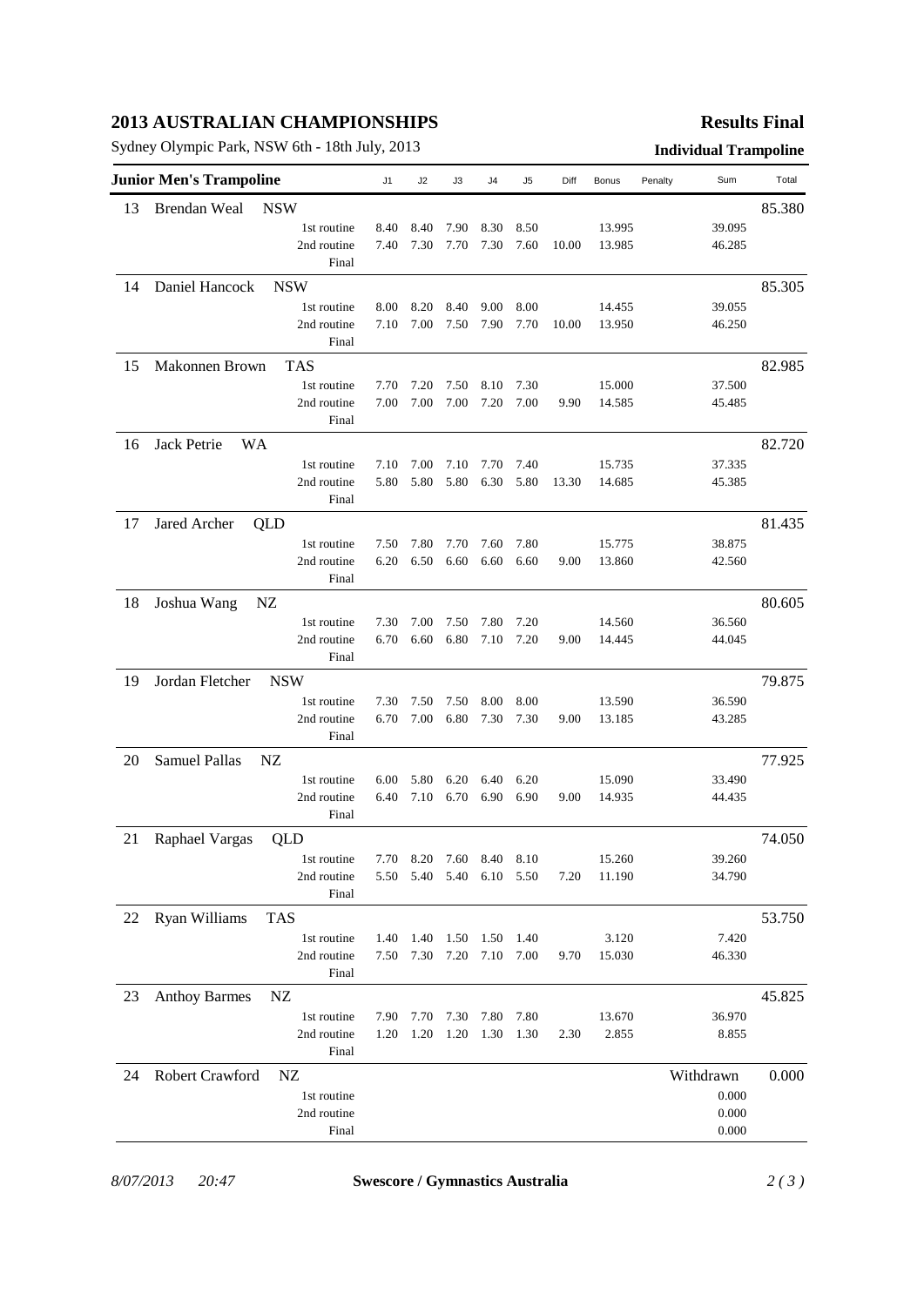## **2013 AUSTRALIAN CHAMPIONSHIPS**

Sydney Olympic Park, NSW 6th - 18th July, 2013 **Individual Trampoline**

### **Results Final**

|    | <b>Junior Men's Trampoline</b>    | J1   | J2           | JЗ           | J4                       | J5           | Diff  | Bonus  | Penalty | Sum            | Total  |
|----|-----------------------------------|------|--------------|--------------|--------------------------|--------------|-------|--------|---------|----------------|--------|
| 13 | <b>Brendan Weal</b><br><b>NSW</b> |      |              |              |                          |              |       |        |         |                | 85.380 |
|    | 1st routine                       | 8.40 | 8.40         | 7.90         | 8.30                     | 8.50         |       | 13.995 |         | 39.095         |        |
|    | 2nd routine                       | 7.40 | 7.30         | 7.70         | 7.30                     | 7.60         | 10.00 | 13.985 |         | 46.285         |        |
|    | Final                             |      |              |              |                          |              |       |        |         |                |        |
| 14 | Daniel Hancock<br><b>NSW</b>      |      |              |              |                          |              |       |        |         |                | 85.305 |
|    | 1st routine                       | 8.00 | 8.20         | 8.40         | 9.00                     | 8.00         |       | 14.455 |         | 39.055         |        |
|    | 2nd routine                       | 7.10 | 7.00         | 7.50         | 7.90                     | 7.70         | 10.00 | 13.950 |         | 46.250         |        |
|    | Final                             |      |              |              |                          |              |       |        |         |                |        |
| 15 | Makonnen Brown<br><b>TAS</b>      |      |              |              |                          |              |       |        |         |                | 82.985 |
|    | 1st routine                       | 7.70 | 7.20         | 7.50         | 8.10                     | 7.30         |       | 15.000 |         | 37.500         |        |
|    | 2nd routine                       | 7.00 | 7.00         | 7.00         | 7.20                     | 7.00         | 9.90  | 14.585 |         | 45.485         |        |
|    | Final                             |      |              |              |                          |              |       |        |         |                |        |
| 16 | Jack Petrie<br>WA                 |      |              |              |                          |              |       |        |         |                | 82.720 |
|    | 1st routine                       | 7.10 | 7.00         | 7.10         | 7.70                     | 7.40         |       | 15.735 |         | 37.335         |        |
|    | 2nd routine                       | 5.80 | 5.80         | 5.80         | 6.30                     | 5.80         | 13.30 | 14.685 |         | 45.385         |        |
|    | Final                             |      |              |              |                          |              |       |        |         |                |        |
|    |                                   |      |              |              |                          |              |       |        |         |                |        |
| 17 | Jared Archer<br>QLD               |      |              |              |                          |              |       |        |         |                | 81.435 |
|    | 1st routine                       | 7.50 | 7.80         | 7.70         | 7.60<br>6.60             | 7.80         |       | 15.775 |         | 38.875         |        |
|    | 2nd routine<br>Final              | 6.20 | 6.50         | 6.60         |                          | 6.60         | 9.00  | 13.860 |         | 42.560         |        |
|    |                                   |      |              |              |                          |              |       |        |         |                |        |
| 18 | Joshua Wang<br>NZ                 |      |              |              |                          |              |       |        |         |                | 80.605 |
|    | 1st routine                       | 7.30 | 7.00         | 7.50         | 7.80                     | 7.20         |       | 14.560 |         | 36.560         |        |
|    | 2nd routine                       | 6.70 | 6.60         | 6.80         | 7.10                     | 7.20         | 9.00  | 14.445 |         | 44.045         |        |
|    | Final                             |      |              |              |                          |              |       |        |         |                |        |
| 19 | Jordan Fletcher<br><b>NSW</b>     |      |              |              |                          |              |       |        |         |                | 79.875 |
|    | 1st routine                       | 7.30 | 7.50         | 7.50         | 8.00                     | 8.00         |       | 13.590 |         | 36.590         |        |
|    | 2nd routine                       | 6.70 | 7.00         | 6.80         | 7.30                     | 7.30         | 9.00  | 13.185 |         | 43.285         |        |
|    | Final                             |      |              |              |                          |              |       |        |         |                |        |
| 20 | Samuel Pallas<br>NZ               |      |              |              |                          |              |       |        |         |                | 77.925 |
|    | 1st routine                       | 6.00 | 5.80         | 6.20         | 6.40                     | 6.20         |       | 15.090 |         | 33.490         |        |
|    | 2nd routine                       | 6.40 | 7.10         | 6.70         | 6.90                     | 6.90         | 9.00  | 14.935 |         | 44.435         |        |
|    | Final                             |      |              |              |                          |              |       |        |         |                |        |
| 21 | Raphael Vargas<br>QLD             |      |              |              |                          |              |       |        |         |                | 74.050 |
|    | 1st routine                       | 7.70 |              | 8.20 7.60    | 8.40 8.10                |              |       | 15.260 |         | 39.260         |        |
|    | 2nd routine                       |      |              |              | 5.50 5.40 5.40 6.10 5.50 |              | 7.20  | 11.190 |         | 34.790         |        |
|    | Final                             |      |              |              |                          |              |       |        |         |                |        |
| 22 | Ryan Williams<br><b>TAS</b>       |      |              |              |                          |              |       |        |         |                | 53.750 |
|    | 1st routine                       | 1.40 | 1.40         | 1.50         | 1.50                     | 1.40         |       | 3.120  |         | 7.420          |        |
|    | 2nd routine                       | 7.50 | 7.30 7.20    |              | 7.10                     | 7.00         | 9.70  | 15.030 |         | 46.330         |        |
|    | Final                             |      |              |              |                          |              |       |        |         |                |        |
| 23 | <b>Anthoy Barmes</b><br>NZ        |      |              |              |                          |              |       |        |         |                | 45.825 |
|    | 1st routine                       | 7.90 |              |              | 7.80                     |              |       | 13.670 |         | 36.970         |        |
|    | 2nd routine                       | 1.20 | 7.70<br>1.20 | 7.30<br>1.20 | 1.30                     | 7.80<br>1.30 | 2.30  | 2.855  |         | 8.855          |        |
|    | Final                             |      |              |              |                          |              |       |        |         |                |        |
|    |                                   |      |              |              |                          |              |       |        |         |                |        |
| 24 | Robert Crawford<br>NZ             |      |              |              |                          |              |       |        |         | Withdrawn      | 0.000  |
|    | 1st routine                       |      |              |              |                          |              |       |        |         | 0.000          |        |
|    | 2nd routine<br>Final              |      |              |              |                          |              |       |        |         | 0.000<br>0.000 |        |
|    |                                   |      |              |              |                          |              |       |        |         |                |        |